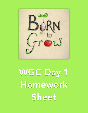

WGC Day 1 Homework Sheet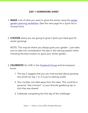## DAY 1 HOMEWORK SHEET

- 1. MAKE a list of what you want to grow this winter using the winter [garden planning worksheet. \(See the next page for a quick list to](https://launch.borntogrow.net/wp-content/uploads/2020/07/winter-garden-planning-worksheet.pdf)  choose from).
- 2. CHOOSE where you are going to grow it (pick your best spot for winter growing).

NOTE: This may be where you always grow your garden - just make sure to take into consideration the tips in the training session when choosing the best location to grow your winter garden.

- 3. CELEBRATE! Go LIVE in the [Facebook Group](https://www.facebook.com/groups/wintergardeningchallenge/) and let everyone know:
	- 1. The top 3 veggies that you are most excited about growing this winter (or top 1 or 2 if you're starting small).
	- 2. Your number one take-away from the class. This could be a personal "aha moment" or your favorite gardening tip or trick that was shared.
	- 3. Celebrate completing the first day of the challenge!